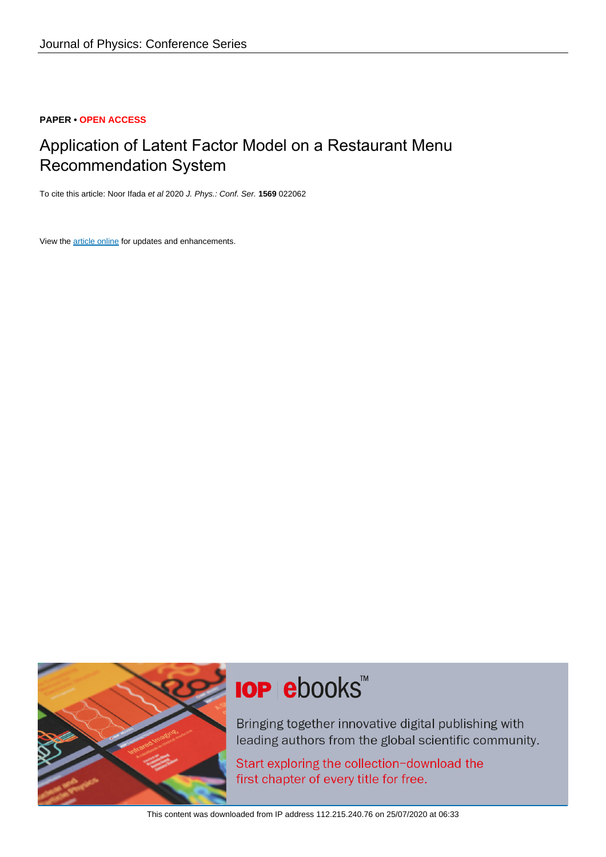### **PAPER • OPEN ACCESS**

## Application of Latent Factor Model on a Restaurant Menu Recommendation System

To cite this article: Noor Ifada et al 2020 J. Phys.: Conf. Ser. **1569** 022062

View the [article online](https://doi.org/10.1088/1742-6596/1569/2/022062) for updates and enhancements.



# **IOP ebooks**™

Bringing together innovative digital publishing with leading authors from the global scientific community.

Start exploring the collection-download the first chapter of every title for free.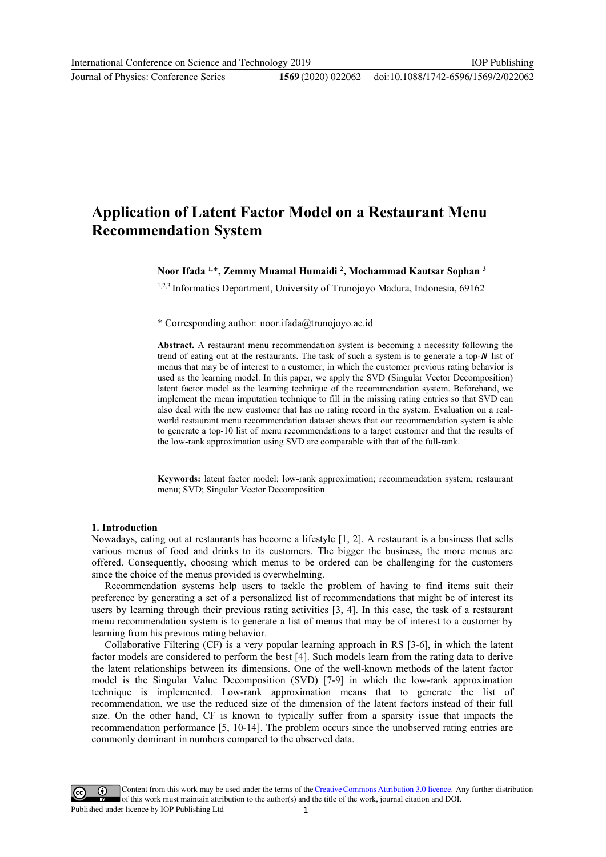#### doi:10.1088/1742-6596/1569/2/022062

## Application of Latent Factor Model on a Restaurant Menu Recommendation System

#### Noor Ifada <sup>1,</sup>\*, Zemmy Muamal Humaidi <sup>2</sup>, Mochammad Kautsar Sophan <sup>3</sup>

<sup>1,2,3</sup> Informatics Department, University of Trunojoyo Madura, Indonesia, 69162

\* Corresponding author: noor.ifada@trunojoyo.ac.id

Abstract. A restaurant menu recommendation system is becoming a necessity following the trend of eating out at the restaurants. The task of such a system is to generate a top- $N$  list of menus that may be of interest to a customer, in which the customer previous rating behavior is used as the learning model. In this paper, we apply the SVD (Singular Vector Decomposition) latent factor model as the learning technique of the recommendation system. Beforehand, we implement the mean imputation technique to fill in the missing rating entries so that SVD can also deal with the new customer that has no rating record in the system. Evaluation on a realworld restaurant menu recommendation dataset shows that our recommendation system is able to generate a top-10 list of menu recommendations to a target customer and that the results of the low-rank approximation using SVD are comparable with that of the full-rank.

Keywords: latent factor model; low-rank approximation; recommendation system; restaurant menu; SVD; Singular Vector Decomposition

#### 1. Introduction

Nowadays, eating out at restaurants has become a lifestyle [1, 2]. A restaurant is a business that sells various menus of food and drinks to its customers. The bigger the business, the more menus are offered. Consequently, choosing which menus to be ordered can be challenging for the customers since the choice of the menus provided is overwhelming.

Recommendation systems help users to tackle the problem of having to find items suit their preference by generating a set of a personalized list of recommendations that might be of interest its users by learning through their previous rating activities [3, 4]. In this case, the task of a restaurant menu recommendation system is to generate a list of menus that may be of interest to a customer by learning from his previous rating behavior.

Collaborative Filtering (CF) is a very popular learning approach in RS [3-6], in which the latent factor models are considered to perform the best [4]. Such models learn from the rating data to derive the latent relationships between its dimensions. One of the well-known methods of the latent factor model is the Singular Value Decomposition (SVD) [7-9] in which the low-rank approximation technique is implemented. Low-rank approximation means that to generate the list of recommendation, we use the reduced size of the dimension of the latent factors instead of their full size. On the other hand, CF is known to typically suffer from a sparsity issue that impacts the recommendation performance [5, 10-14]. The problem occurs since the unobserved rating entries are commonly dominant in numbers compared to the observed data.

Content from this work may be used under the terms of theCreative Commons Attribution 3.0 licence. Any further distribution of this work must maintain attribution to the author(s) and the title of the work, journal citation and DOI. Published under licence by IOP Publishing Ltd 1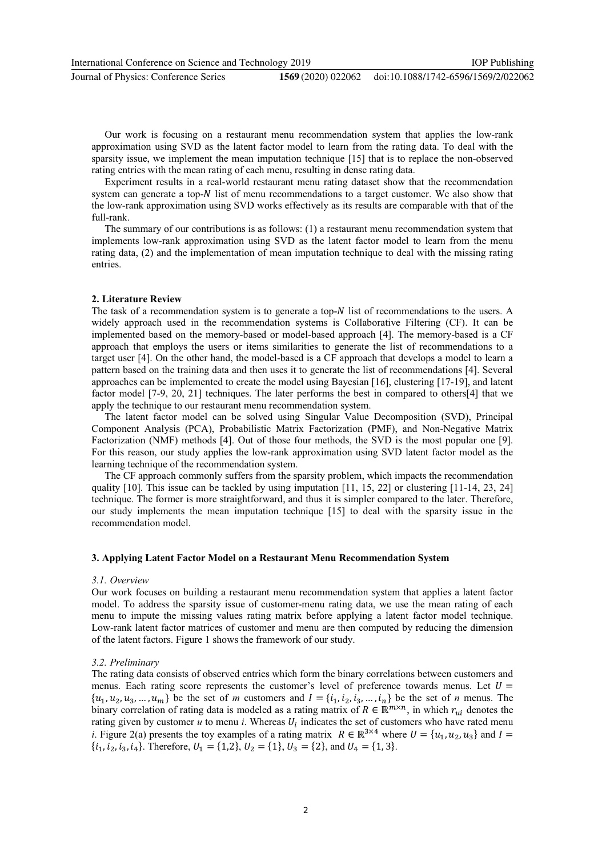International Conference on Science and Technology 2019

Journal of Physics: Conference Series **1569** (2020) 022062

Our work is focusing on a restaurant menu recommendation system that applies the low-rank approximation using SVD as the latent factor model to learn from the rating data. To deal with the sparsity issue, we implement the mean imputation technique [15] that is to replace the non-observed

rating entries with the mean rating of each menu, resulting in dense rating data.

Experiment results in a real-world restaurant menu rating dataset show that the recommendation system can generate a top- $N$  list of menu recommendations to a target customer. We also show that the low-rank approximation using SVD works effectively as its results are comparable with that of the full-rank.

The summary of our contributions is as follows: (1) a restaurant menu recommendation system that implements low-rank approximation using SVD as the latent factor model to learn from the menu rating data, (2) and the implementation of mean imputation technique to deal with the missing rating entries.

#### 2. Literature Review

The task of a recommendation system is to generate a top- $N$  list of recommendations to the users. A widely approach used in the recommendation systems is Collaborative Filtering (CF). It can be implemented based on the memory-based or model-based approach [4]. The memory-based is a CF approach that employs the users or items similarities to generate the list of recommendations to a target user [4]. On the other hand, the model-based is a CF approach that develops a model to learn a pattern based on the training data and then uses it to generate the list of recommendations [4]. Several approaches can be implemented to create the model using Bayesian [16], clustering [17-19], and latent factor model [7-9, 20, 21] techniques. The later performs the best in compared to others[4] that we apply the technique to our restaurant menu recommendation system.

The latent factor model can be solved using Singular Value Decomposition (SVD), Principal Component Analysis (PCA), Probabilistic Matrix Factorization (PMF), and Non-Negative Matrix Factorization (NMF) methods [4]. Out of those four methods, the SVD is the most popular one [9]. For this reason, our study applies the low-rank approximation using SVD latent factor model as the learning technique of the recommendation system.

The CF approach commonly suffers from the sparsity problem, which impacts the recommendation quality [10]. This issue can be tackled by using imputation [11, 15, 22] or clustering [11-14, 23, 24] technique. The former is more straightforward, and thus it is simpler compared to the later. Therefore, our study implements the mean imputation technique [15] to deal with the sparsity issue in the recommendation model.

#### 3. Applying Latent Factor Model on a Restaurant Menu Recommendation System

#### 3.1. Overview

Our work focuses on building a restaurant menu recommendation system that applies a latent factor model. To address the sparsity issue of customer-menu rating data, we use the mean rating of each menu to impute the missing values rating matrix before applying a latent factor model technique. Low-rank latent factor matrices of customer and menu are then computed by reducing the dimension of the latent factors. Figure 1 shows the framework of our study.

#### 3.2. Preliminary

The rating data consists of observed entries which form the binary correlations between customers and menus. Each rating score represents the customer's level of preference towards menus. Let  $U =$  $\{u_1, u_2, u_3, \dots, u_m\}$  be the set of *m* customers and  $I = \{i_1, i_2, i_3, \dots, i_n\}$  be the set of *n* menus. The binary correlation of rating data is modeled as a rating matrix of  $R \in \mathbb{R}^{m \times n}$ , in which  $r_{ui}$  denotes the rating given by customer  $u$  to menu i. Whereas  $U_i$  indicates the set of customers who have rated menu *i*. Figure 2(a) presents the toy examples of a rating matrix  $R \in \mathbb{R}^{3 \times 4}$  where  $U = \{u_1, u_2, u_3\}$  and  $I =$  $\{i_1, i_2, i_3, i_4\}$ . Therefore,  $U_1 = \{1, 2\}$ ,  $U_2 = \{1\}$ ,  $U_3 = \{2\}$ , and  $U_4 = \{1, 3\}$ .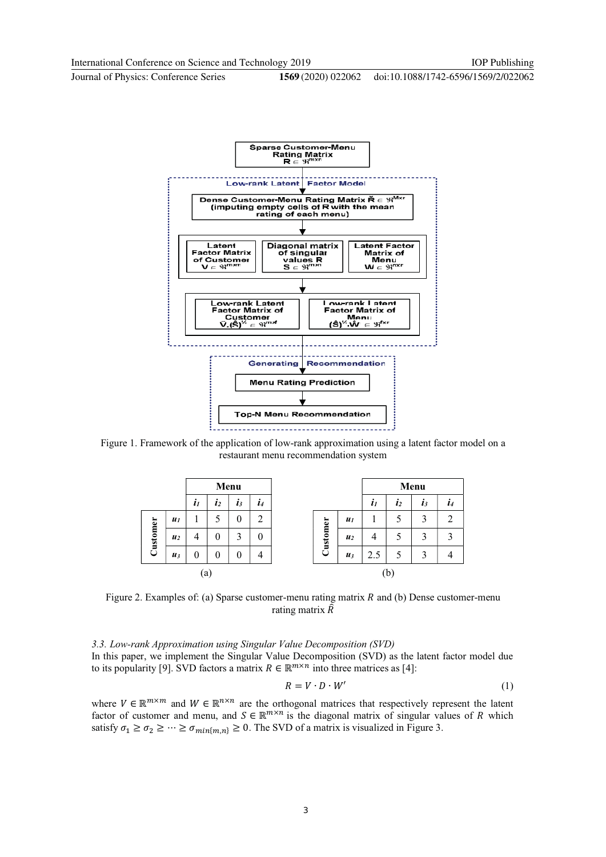doi:10.1088/1742-6596/1569/2/022062



Figure 1. Framework of the application of low-rank approximation using a latent factor model on a restaurant menu recommendation system

|          |                | Menu             |                |                   |              |          |    |                | Menu               |                |       |              |
|----------|----------------|------------------|----------------|-------------------|--------------|----------|----|----------------|--------------------|----------------|-------|--------------|
|          |                | $\boldsymbol{l}$ | $\mathbf{z}_2$ | $\mathbf{I}$      | $\mathbf{I}$ |          |    |                | $\boldsymbol{i}_I$ | $\mathbf{z}_2$ | $l_3$ | $\mathbf{I}$ |
| Customer | $u_1$          |                  |                | $\theta$          | 2            |          |    | $u_1$          |                    |                | 3     | ာ            |
|          | u <sub>2</sub> | 4                | 0              | 3                 | 0            | Customer |    | u <sub>2</sub> |                    |                | 3     | 3            |
|          | $\mathbf{u}_3$ | $\theta$         | 0              | $\mathbf{\Omega}$ | 4            |          |    | $\mathbf{u}_3$ | 2.5                | 5              | 3     |              |
| [a]      |                |                  |                |                   |              |          | (b |                |                    |                |       |              |

Figure 2. Examples of: (a) Sparse customer-menu rating matrix  $R$  and (b) Dense customer-menu rating matrix  $\hat{R}$ 

3.3. Low-rank Approximation using Singular Value Decomposition (SVD) In this paper, we implement the Singular Value Decomposition (SVD) as the latent factor model due to its popularity [9]. SVD factors a matrix  $R \in \mathbb{R}^{m \times n}$  into three matrices as [4]:

$$
R = V \cdot D \cdot W'
$$
 (1)

where  $V \in \mathbb{R}^{m \times m}$  and  $W \in \mathbb{R}^{n \times n}$  are the orthogonal matrices that respectively represent the latent factor of customer and menu, and  $S \in \mathbb{R}^{m \times n}$  is the diagonal matrix of singular values of R which satisfy  $\sigma_1 \geq \sigma_2 \geq \cdots \geq \sigma_{\min\{m,n\}} \geq 0$ . The SVD of a matrix is visualized in Figure 3.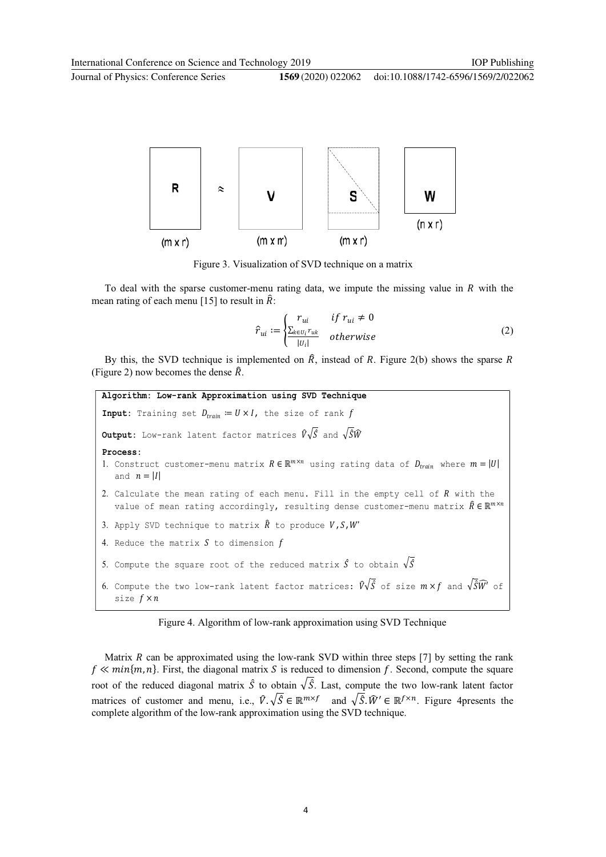

Figure 3. Visualization of SVD technique on a matrix

To deal with the sparse customer-menu rating data, we impute the missing value in  *with the* mean rating of each menu [15] to result in  $\hat{R}$ :

$$
\hat{r}_{ui} := \begin{cases}\nr_{ui} & if \ r_{ui} \neq 0 \\
\frac{\sum_{k \in U_i} r_{uk}}{|U_i|} & otherwise\n\end{cases}
$$
\n(2)

By this, the SVD technique is implemented on  $\hat{R}$ , instead of R. Figure 2(b) shows the sparse R (Figure 2) now becomes the dense  $\hat{R}$ .

```
Algorithm: Low-rank Approximation using SVD Technique
Input: Training set D_{train} := U \times I, the size of rank f
Output: Low-rank latent factor matrices \hat{V}\sqrt{\hat{S}} and \sqrt{\hat{S}}\hat{W}<br>Process:
1. Construct customer-menu matrix R \in \mathbb{R}^{m \times n} using rating data of D_{train} where m = |U|and n = |I|2. Calculate the mean rating of each menu. Fill in the empty cell of R with the
   value of mean rating accordingly, resulting dense customer-menu matrix \hat{R} \in \mathbb{R}^{m \times n}3. Apply SVD technique to matrix \hat{R} to produce V, S, W'4. Reduce the matrix S to dimension f5. Compute the square root of the reduced matrix \hat{S} to obtain \sqrt{\hat{S}}6. Compute the two low-rank latent factor matrices: \hat{V}\sqrt{\hat{S}} of size m \times f and \sqrt{\hat{S}}\hat{W}' of
   size f \times n
```
Figure 4. Algorithm of low-rank approximation using SVD Technique

Matrix  $R$  can be approximated using the low-rank SVD within three steps [7] by setting the rank  $f \ll min\{m, n\}$ . First, the diagonal matrix S is reduced to dimension f. Second, compute the square root of the reduced diagonal matrix  $\hat{S}$  to obtain  $\sqrt{\hat{S}}$ . Last, compute the two low-rank latent factor matrices of customer and menu, i.e.,  $\hat{V} \cdot \sqrt{\hat{S}} \in \mathbb{R}^{m \times f}$  and  $\sqrt{\hat{S}} \cdot \hat{W}' \in \mathbb{R}^{f \times n}$ . Figure 4presents the complete algorithm of the low-rank approximation using the SVD technique.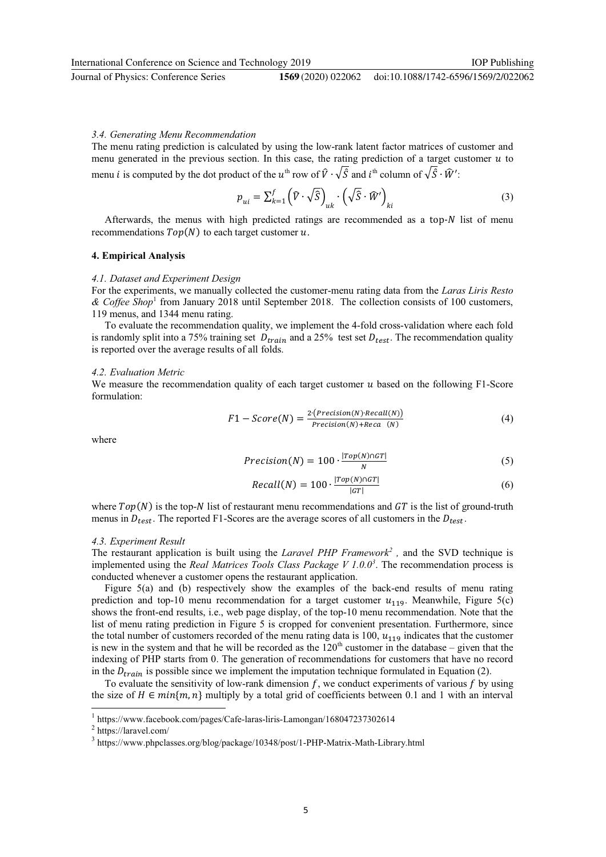#### 3.4. Generating Menu Recommendation

The menu rating prediction is calculated by using the low-rank latent factor matrices of customer and menu generated in the previous section. In this case, the rating prediction of a target customer  $u$  to menu *i* is computed by the dot product of the  $u^{\text{th}}$  row of  $\hat{V} \cdot \sqrt{\hat{S}}$  and  $i^{\text{th}}$  column of  $\sqrt{\hat{S}} \cdot \hat{W}'$ :

$$
p_{ui} = \sum_{k=1}^{f} (\widehat{V} \cdot \sqrt{\widehat{S}})_{uk} \cdot (\sqrt{\widehat{S}} \cdot \widehat{W}')_{ki}
$$
 (3)

Afterwards, the menus with high predicted ratings are recommended as a top- $N$  list of menu recommendations  $Top(N)$  to each target customer  $u$ .

#### 4. Empirical Analysis

#### 4.1. Dataset and Experiment Design

For the experiments, we manually collected the customer-menu rating data from the Laras Liris Resto & Coffee Shop<sup>1</sup> from January 2018 until September 2018. The collection consists of 100 customers, 119 menus, and 1344 menu rating.

To evaluate the recommendation quality, we implement the 4-fold cross-validation where each fold is randomly split into a 75% training set  $D_{train}$  and a 25% test set  $D_{test}$ . The recommendation quality is reported over the average results of all folds.

#### 4.2. Evaluation Metric

We measure the recommendation quality of each target customer  $u$  based on the following F1-Score formulation:

$$
F1 - Score(N) = \frac{2 \cdot (Precision(N) \cdot Recall(N))}{Precision(N) + Reca(N)}
$$
(4)

where

$$
Precision(N) = 100 \cdot \frac{|Top(N) \cap GT|}{N}
$$
 (5)

$$
Recall(N) = 100 \cdot \frac{|Top(N) \cap GT|}{|GT|}
$$
 (6)

where  $Top(N)$  is the top-N list of restaurant menu recommendations and  $GT$  is the list of ground-truth menus in  $D_{test}$ . The reported F1-Scores are the average scores of all customers in the  $D_{test}$ .

#### 4.3. Experiment Result

The restaurant application is built using the *Laravel PHP Framework*<sup>2</sup>, and the SVD technique is implemented using the Real Matrices Tools Class Package  $V 1.0.0<sup>3</sup>$ . The recommendation process is conducted whenever a customer opens the restaurant application.

Figure 5(a) and (b) respectively show the examples of the back-end results of menu rating prediction and top-10 menu recommendation for a target customer  $u_{119}$ . Meanwhile, Figure 5(c) shows the front-end results, i.e., web page display, of the top-10 menu recommendation. Note that the list of menu rating prediction in Figure 5 is cropped for convenient presentation. Furthermore, since the total number of customers recorded of the menu rating data is 100,  $u_{119}$  indicates that the customer is new in the system and that he will be recorded as the  $120<sup>th</sup>$  customer in the database – given that the indexing of PHP starts from 0. The generation of recommendations for customers that have no record in the  $D_{train}$  is possible since we implement the imputation technique formulated in Equation (2).

To evaluate the sensitivity of low-rank dimension  $f$ , we conduct experiments of various  $f$  by using the size of  $H \in min\{m, n\}$  multiply by a total grid of coefficients between 0.1 and 1 with an interval

-

<sup>1</sup> https://www.facebook.com/pages/Cafe-laras-liris-Lamongan/168047237302614

<sup>2</sup> https://laravel.com/

<sup>&</sup>lt;sup>3</sup> https://www.phpclasses.org/blog/package/10348/post/1-PHP-Matrix-Math-Library.html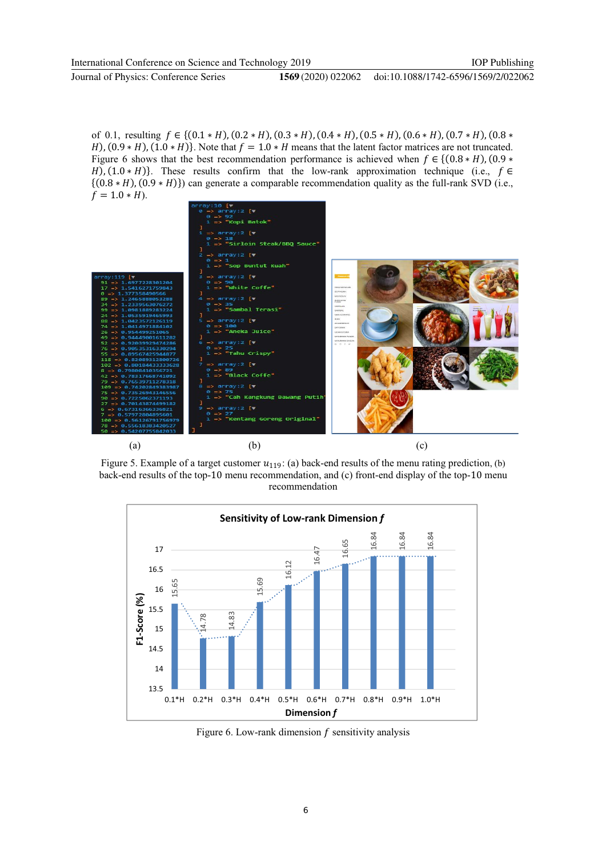of 0.1, resulting  $f \in \{ (0.1 * H), (0.2 * H), (0.3 * H), (0.4 * H), (0.5 * H), (0.6 * H), (0.7 * H), (0.8 *$  $F$ ,  $F$  (0.9  $*$  H),  $(1.0 * H)$ . Note that  $f = 1.0 * H$  means that the latent factor matrices are not truncated. Figure 6 shows that the best recommendation performance is achieved when  $f \in \{ (0.8 * H), (0.9 *$  $F$ ,  $F$ (1.0  $*$  H)}. These results confirm that the low-rank approximation technique (i.e.,  $f \in$  $\{(0.8 * H), (0.9 * H)\}\)$  can generate a comparable recommendation quality as the full-rank SVD (i.e.,  $f = 1.0 * H$ ).



Figure 5. Example of a target customer  $u_{119}$ : (a) back-end results of the menu rating prediction, (b) back-end results of the top-10 menu recommendation, and (c) front-end display of the top-10 menu recommendation



Figure 6. Low-rank dimension  $f$  sensitivity analysis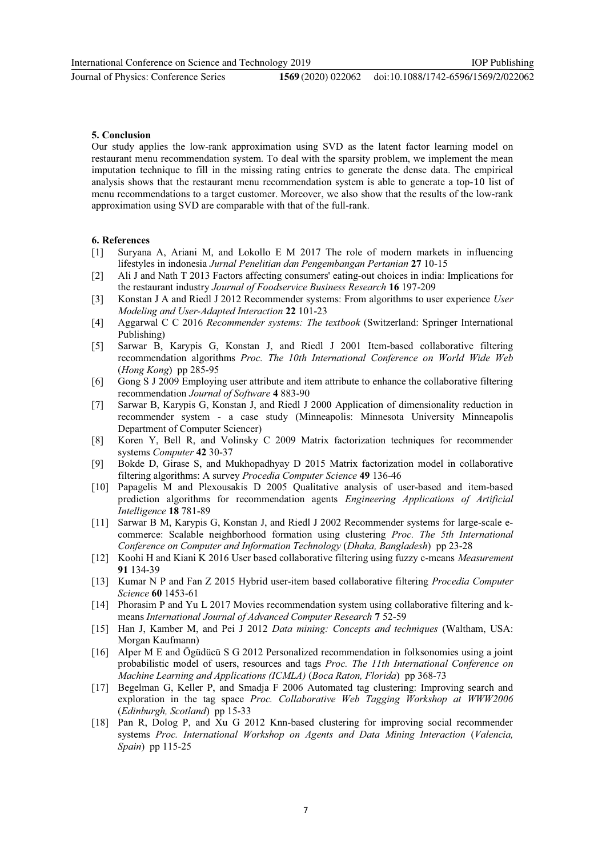Our study applies the low-rank approximation using SVD as the latent factor learning model on restaurant menu recommendation system. To deal with the sparsity problem, we implement the mean imputation technique to fill in the missing rating entries to generate the dense data. The empirical analysis shows that the restaurant menu recommendation system is able to generate a top-10 list of menu recommendations to a target customer. Moreover, we also show that the results of the low-rank approximation using SVD are comparable with that of the full-rank.

#### 6. References

5. Conclusion

- [1] Suryana A, Ariani M, and Lokollo E M 2017 The role of modern markets in influencing lifestyles in indonesia Jurnal Penelitian dan Pengembangan Pertanian 27 10-15
- [2] Ali J and Nath T 2013 Factors affecting consumers' eating-out choices in india: Implications for the restaurant industry Journal of Foodservice Business Research 16 197-209
- [3] Konstan J A and Riedl J 2012 Recommender systems: From algorithms to user experience User Modeling and User-Adapted Interaction 22 101-23
- [4] Aggarwal C C 2016 Recommender systems: The textbook (Switzerland: Springer International Publishing)
- [5] Sarwar B, Karypis G, Konstan J, and Riedl J 2001 Item-based collaborative filtering recommendation algorithms Proc. The 10th International Conference on World Wide Web (Hong Kong) pp 285-95
- [6] Gong S J 2009 Employing user attribute and item attribute to enhance the collaborative filtering recommendation Journal of Software 4 883-90
- [7] Sarwar B, Karypis G, Konstan J, and Riedl J 2000 Application of dimensionality reduction in recommender system - a case study (Minneapolis: Minnesota University Minneapolis Department of Computer Sciencer)
- [8] Koren Y, Bell R, and Volinsky C 2009 Matrix factorization techniques for recommender systems Computer 42 30-37
- [9] Bokde D, Girase S, and Mukhopadhyay D 2015 Matrix factorization model in collaborative filtering algorithms: A survey Procedia Computer Science 49 136-46
- [10] Papagelis M and Plexousakis D 2005 Qualitative analysis of user-based and item-based prediction algorithms for recommendation agents Engineering Applications of Artificial Intelligence 18 781-89
- [11] Sarwar B M, Karypis G, Konstan J, and Riedl J 2002 Recommender systems for large-scale ecommerce: Scalable neighborhood formation using clustering Proc. The 5th International Conference on Computer and Information Technology (Dhaka, Bangladesh) pp 23-28
- [12] Koohi H and Kiani K 2016 User based collaborative filtering using fuzzy c-means Measurement 91 134-39
- [13] Kumar N P and Fan Z 2015 Hybrid user-item based collaborative filtering Procedia Computer Science 60 1453-61
- [14] Phorasim P and Yu L 2017 Movies recommendation system using collaborative filtering and kmeans International Journal of Advanced Computer Research 7 52-59
- [15] Han J, Kamber M, and Pei J 2012 Data mining: Concepts and techniques (Waltham, USA: Morgan Kaufmann)
- [16] Alper M E and Ögüdücü S G 2012 Personalized recommendation in folksonomies using a joint probabilistic model of users, resources and tags Proc. The 11th International Conference on Machine Learning and Applications (ICMLA) (Boca Raton, Florida) pp 368-73
- [17] Begelman G, Keller P, and Smadja F 2006 Automated tag clustering: Improving search and exploration in the tag space Proc. Collaborative Web Tagging Workshop at WWW2006 (Edinburgh, Scotland) pp 15-33
- [18] Pan R, Dolog P, and Xu G 2012 Knn-based clustering for improving social recommender systems Proc. International Workshop on Agents and Data Mining Interaction (Valencia, Spain) pp 115-25